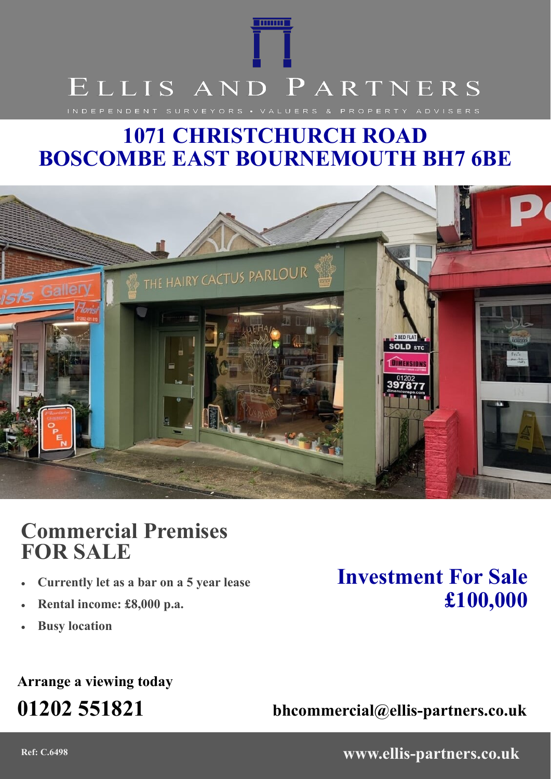# **TOTOLOGI** ELLIS AND PARTNERS INDEPENDENT SURVEYORS . VALUERS & PROPERTY ADVISERS

## **1071 CHRISTCHURCH ROAD BOSCOMBE EAST BOURNEMOUTH BH7 6BE**



### **Commercial Premises FOR SALE**

- **Currently let as a bar on a 5 year lease**
- **Rental income: £8,000 p.a.**
- **Busy location**

### **Arrange a viewing today**

### **Investment For Sale £100,000**

**01202 551821 bhcommercial@ellis-partners.co.uk**

**Ref: C.6498 www.ellis-partners.co.uk**